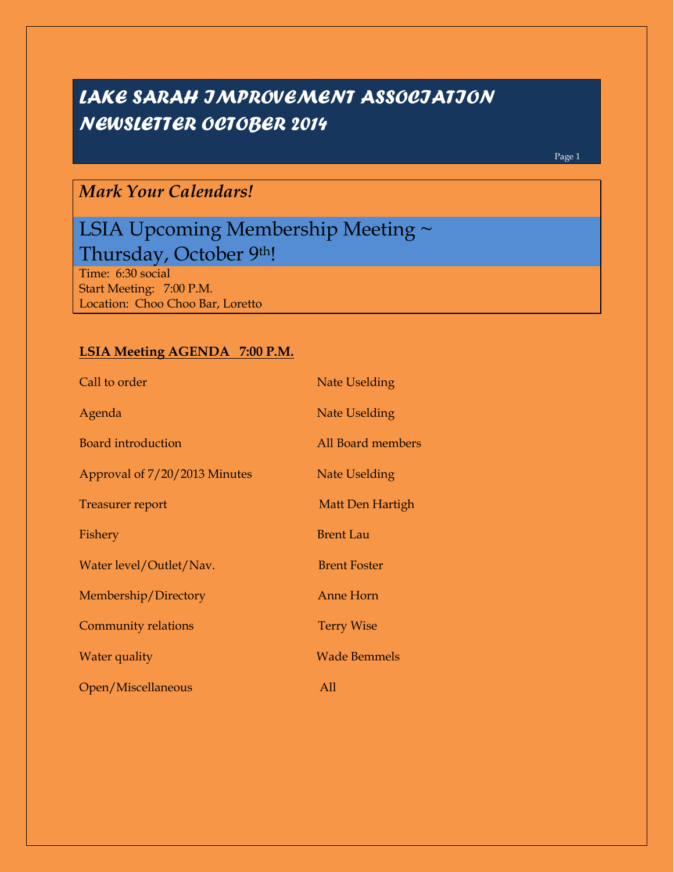# *LAKE SARAH IMPROVEMENT ASSOCIATION NEWSLETTER OCTOBER 2014*

Page 1

## *Mark Your Calendars!*

## LSIA Upcoming Membership Meeting ~ Thursday, October 9th!

Time: 6:30 social Start Meeting: 7:00 P.M. Location: Choo Choo Bar, Loretto

## **LSIA Meeting AGENDA 7:00 P.M.**

| Call to order                 | <b>Nate Uselding</b> |
|-------------------------------|----------------------|
| Agenda                        | Nate Uselding        |
| <b>Board introduction</b>     | All Board members    |
| Approval of 7/20/2013 Minutes | Nate Uselding        |
| <b>Treasurer report</b>       | Matt Den Hartigh     |
| Fishery                       | <b>Brent Lau</b>     |
| Water level/Outlet/Nav.       | <b>Brent Foster</b>  |
| Membership/Directory          | <b>Anne Horn</b>     |
| Community relations           | <b>Terry Wise</b>    |
| Water quality                 | <b>Wade Bemmels</b>  |
| Open/Miscellaneous            | All                  |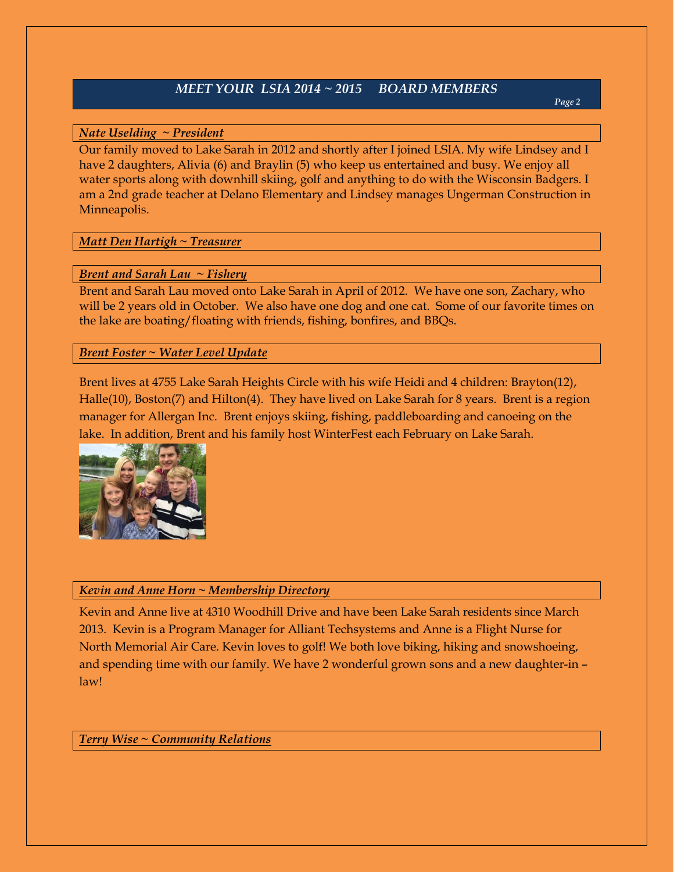## *MEET YOUR LSIA 2014 ~ 2015 BOARD MEMBERS*

## *Nate Uselding ~ President*

Our family moved to Lake Sarah in 2012 and shortly after I joined LSIA. My wife Lindsey and I have 2 daughters, Alivia (6) and Braylin (5) who keep us entertained and busy. We enjoy all water sports along with downhill skiing, golf and anything to do with the Wisconsin Badgers. I am a 2nd grade teacher at Delano Elementary and Lindsey manages Ungerman Construction in Minneapolis.

## *Matt Den Hartigh ~ Treasurer*

## *Brent and Sarah Lau ~ Fishery*

Brent and Sarah Lau moved onto Lake Sarah in April of 2012. We have one son, Zachary, who will be 2 years old in October. We also have one dog and one cat. Some of our favorite times on the lake are boating/floating with friends, fishing, bonfires, and BBQs.

## *Brent Foster ~ Water Level Update*

Brent lives at 4755 Lake Sarah Heights Circle with his wife Heidi and 4 children: Brayton(12), Halle(10), Boston(7) and Hilton(4). They have lived on Lake Sarah for 8 years. Brent is a region manager for Allergan Inc. Brent enjoys skiing, fishing, paddleboarding and canoeing on the lake. In addition, Brent and his family host WinterFest each February on Lake Sarah.



### *Kevin and Anne Horn ~ Membership Directory*

Kevin and Anne live at 4310 Woodhill Drive and have been Lake Sarah residents since March 2013. Kevin is a Program Manager for Alliant Techsystems and Anne is a Flight Nurse for North Memorial Air Care. Kevin loves to golf! We both love biking, hiking and snowshoeing, and spending time with our family. We have 2 wonderful grown sons and a new daughter-in – law!

## *Terry Wise ~ Community Relations*

*Page 2*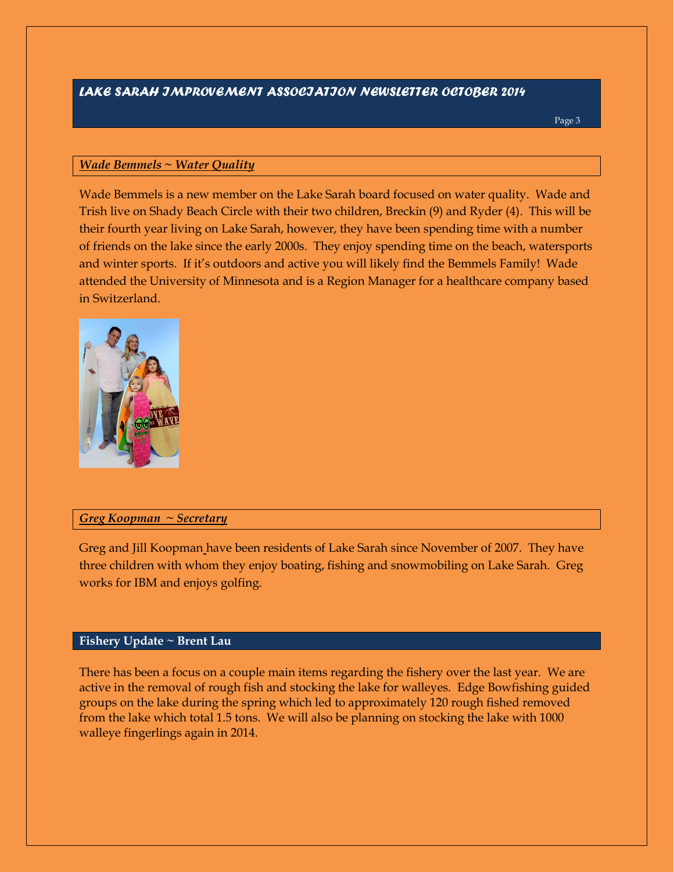## *LAKE SARAH IMPROVEMENT ASSOCIATION NEWSLETTER OCTOBER 2014*

Page 3

## *Wade Bemmels ~ Water Quality*

Wade Bemmels is a new member on the Lake Sarah board focused on water quality. Wade and Trish live on Shady Beach Circle with their two children, Breckin (9) and Ryder (4). This will be their fourth year living on Lake Sarah, however, they have been spending time with a number of friends on the lake since the early 2000s. They enjoy spending time on the beach, watersports and winter sports. If it's outdoors and active you will likely find the Bemmels Family! Wade attended the University of Minnesota and is a Region Manager for a healthcare company based in Switzerland.



#### *Greg Koopman ~ Secretary*

Greg and Jill Koopman have been residents of Lake Sarah since November of 2007. They have three children with whom they enjoy boating, fishing and snowmobiling on Lake Sarah. Greg works for IBM and enjoys golfing.

### **Fishery Update ~ Brent Lau**

There has been a focus on a couple main items regarding the fishery over the last year. We are active in the removal of rough fish and stocking the lake for walleyes. Edge Bowfishing guided groups on the lake during the spring which led to approximately 120 rough fished removed from the lake which total 1.5 tons. We will also be planning on stocking the lake with 1000 walleye fingerlings again in 2014.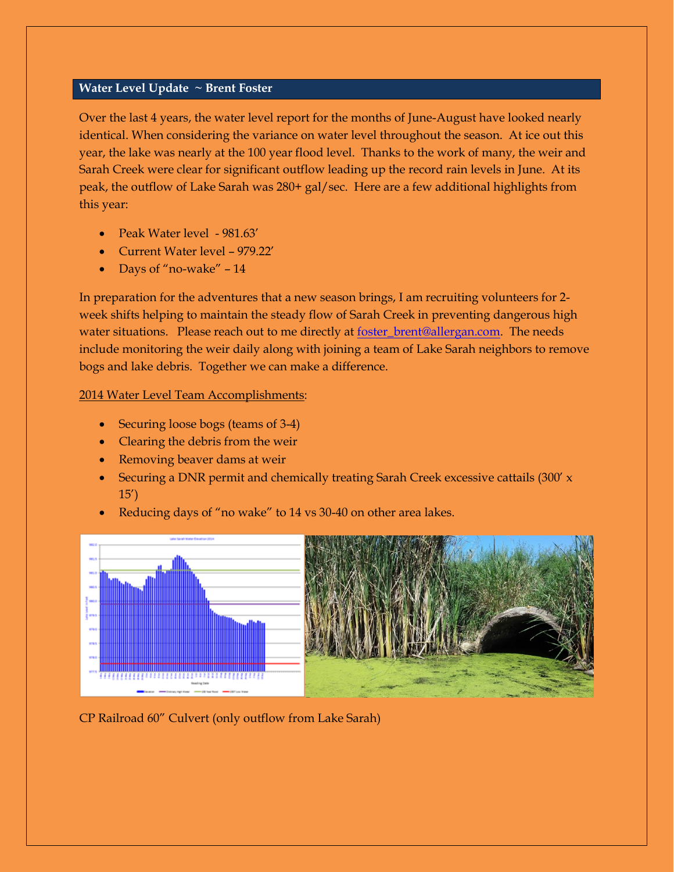### **Water Level Update ~ Brent Foster**

Over the last 4 years, the water level report for the months of June-August have looked nearly identical. When considering the variance on water level throughout the season. At ice out this year, the lake was nearly at the 100 year flood level. Thanks to the work of many, the weir and Sarah Creek were clear for significant outflow leading up the record rain levels in June. At its peak, the outflow of Lake Sarah was 280+ gal/sec. Here are a few additional highlights from this year:

- Peak Water level 981.63'
- Current Water level 979.22'
- Days of "no-wake" 14

In preparation for the adventures that a new season brings, I am recruiting volunteers for 2 week shifts helping to maintain the steady flow of Sarah Creek in preventing dangerous high water situations. Please reach out to me directly at <u>foster\_brent@allergan.com</u>. The needs include monitoring the weir daily along with joining a team of Lake Sarah neighbors to remove bogs and lake debris. Together we can make a difference.

2014 Water Level Team Accomplishments:

- Securing loose bogs (teams of 3-4)
- Clearing the debris from the weir
- Removing beaver dams at weir
- Securing a DNR permit and chemically treating Sarah Creek excessive cattails (300' x 15')
- Reducing days of "no wake" to 14 vs 30-40 on other area lakes.



CP Railroad 60" Culvert (only outflow from Lake Sarah)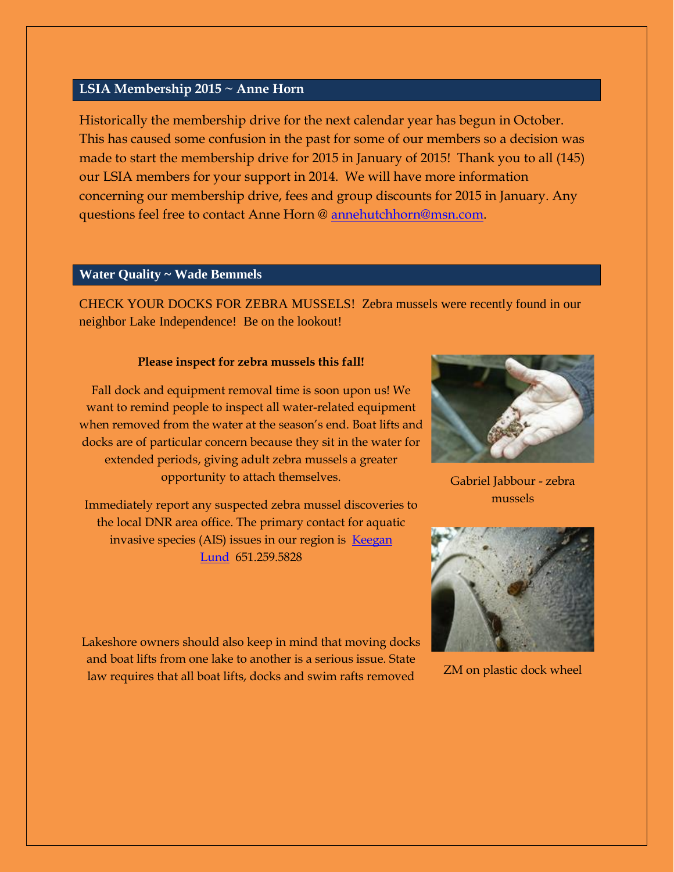## **LSIA Membership 2015 ~ Anne Horn**

Historically the membership drive for the next calendar year has begun in October. This has caused some confusion in the past for some of our members so a decision was made to start the membership drive for 2015 in January of 2015! Thank you to all (145) our LSIA members for your support in 2014. We will have more information concerning our membership drive, fees and group discounts for 2015 in January. Any questions feel free to contact Anne Horn @ [annehutchhorn@msn.com.](mailto:annehutchhorn@msn.com)

## **Water Quality ~ Wade Bemmels**

CHECK YOUR DOCKS FOR ZEBRA MUSSELS! Zebra mussels were recently found in our neighbor Lake Independence! Be on the lookout!

#### **Please inspect for zebra mussels this fall!**

Fall dock and equipment removal time is soon upon us! We want to remind people to inspect all water-related equipment when removed from the water at the season's end. Boat lifts and docks are of particular concern because they sit in the water for extended periods, giving adult zebra mussels a greater opportunity to attach themselves.

Immediately report any suspected zebra mussel discoveries to the local DNR area office. The primary contact for aquatic invasive species (AIS) issues in our region is [Keegan](mailto:Keegan.Lund@state.mn.us)  [Lund](mailto:Keegan.Lund@state.mn.us) 651.259.5828



Gabriel Jabbour - zebra mussels



ZM on plastic dock wheel

Lakeshore owners should also keep in mind that moving docks and boat lifts from one lake to another is a serious issue. State law requires that all boat lifts, docks and swim rafts removed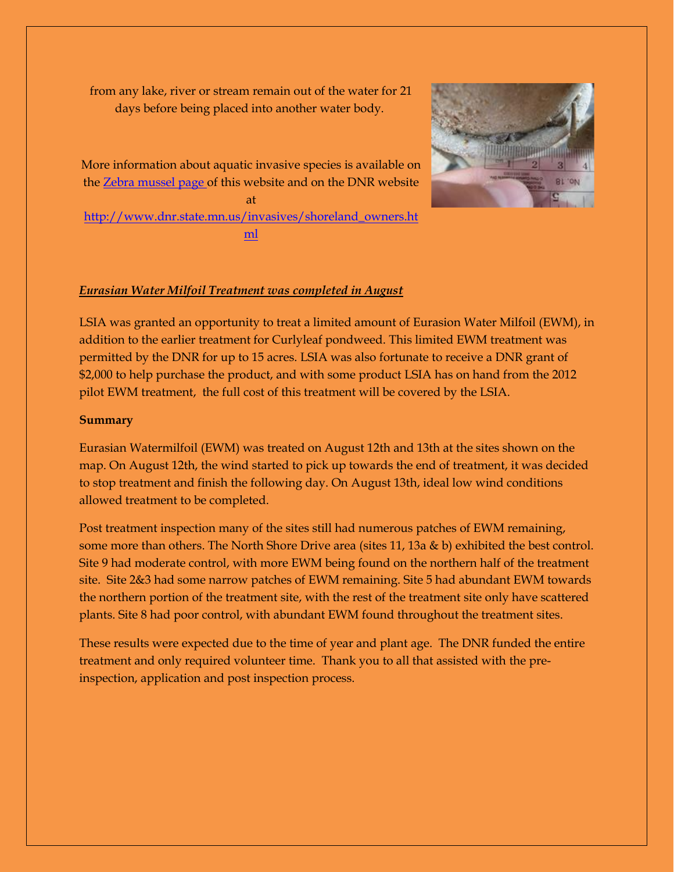from any lake, river or stream remain out of the water for 21 days before being placed into another water body.



More information about aquatic invasive species is available on the [Zebra mussel page o](http://www.lakesarah.com/waterquality/zebramussels.html)f this website and on the DNR website at [http://www.dnr.state.mn.us/invasives/shoreland\\_owners.ht](http://www.dnr.state.mn.us/invasives/shoreland_owners.html) [ml](http://www.dnr.state.mn.us/invasives/shoreland_owners.html)

## *Eurasian Water Milfoil Treatment was completed in August*

LSIA was granted an opportunity to treat a limited amount of Eurasion Water Milfoil (EWM), in addition to the earlier treatment for Curlyleaf pondweed. This limited EWM treatment was permitted by the DNR for up to 15 acres. LSIA was also fortunate to receive a DNR grant of \$2,000 to help purchase the product, and with some product LSIA has on hand from the 2012 pilot EWM treatment, the full cost of this treatment will be covered by the LSIA.

#### **Summary**

Eurasian Watermilfoil (EWM) was treated on August 12th and 13th at the sites shown on the map. On August 12th, the wind started to pick up towards the end of treatment, it was decided to stop treatment and finish the following day. On August 13th, ideal low wind conditions allowed treatment to be completed.

Post treatment inspection many of the sites still had numerous patches of EWM remaining, some more than others. The North Shore Drive area (sites 11, 13a & b) exhibited the best control. Site 9 had moderate control, with more EWM being found on the northern half of the treatment site. Site 2&3 had some narrow patches of EWM remaining. Site 5 had abundant EWM towards the northern portion of the treatment site, with the rest of the treatment site only have scattered plants. Site 8 had poor control, with abundant EWM found throughout the treatment sites.

These results were expected due to the time of year and plant age. The DNR funded the entire treatment and only required volunteer time. Thank you to all that assisted with the preinspection, application and post inspection process.